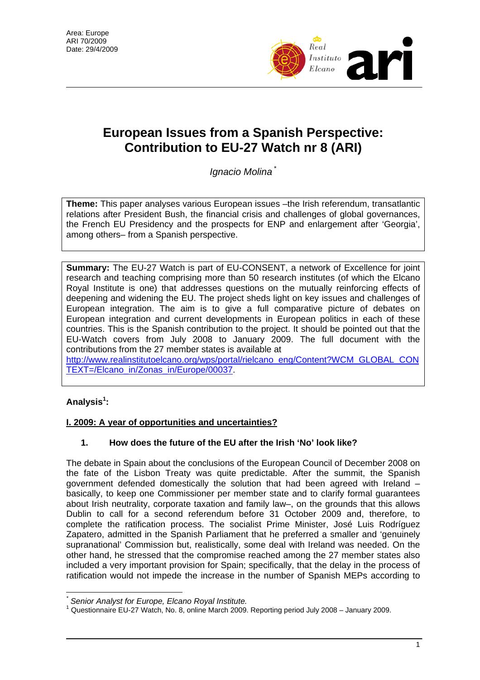

# **European Issues from a Spanish Perspective: Contribution to EU-27 Watch nr 8 (ARI)**

*Ignacio Molina* [\\*](#page-0-0)

**Theme:** This paper analyses various European issues –the Irish referendum, transatlantic relations after President Bush, the financial crisis and challenges of global governances, the French EU Presidency and the prospects for ENP and enlargement after 'Georgia', among others– from a Spanish perspective.

**Summary:** The EU-27 Watch is part of EU-CONSENT, a network of Excellence for joint research and teaching comprising more than 50 research institutes (of which the Elcano Royal Institute is one) that addresses questions on the mutually reinforcing effects of deepening and widening the EU. The project sheds light on key issues and challenges of European integration. The aim is to give a full comparative picture of debates on European integration and current developments in European politics in each of these countries. This is the Spanish contribution to the project. It should be pointed out that the EU-Watch covers from July 2008 to January 2009. The full document with the contributions from the 27 member states is available at

[http://www.realinstitutoelcano.org/wps/portal/rielcano\\_eng/Content?WCM\\_GLOBAL\\_CON](http://www.realinstitutoelcano.org/wps/portal/rielcano_eng/Content?WCM_GLOBAL_CONTEXT=/Elcano_in/Zonas_in/Europe/00037) [TEXT=/Elcano\\_in/Zonas\\_in/Europe/00037.](http://www.realinstitutoelcano.org/wps/portal/rielcano_eng/Content?WCM_GLOBAL_CONTEXT=/Elcano_in/Zonas_in/Europe/00037)

## **Analysis[1](#page-0-1) :**

 $\overline{a}$ 

## **I. 2009: A year of opportunities and uncertainties?**

## **1. How does the future of the EU after the Irish 'No' look like?**

The debate in Spain about the conclusions of the European Council of December 2008 on the fate of the Lisbon Treaty was quite predictable. After the summit, the Spanish government defended domestically the solution that had been agreed with Ireland – basically, to keep one Commissioner per member state and to clarify formal guarantees about Irish neutrality, corporate taxation and family law–, on the grounds that this allows Dublin to call for a second referendum before 31 October 2009 and, therefore, to complete the ratification process. The socialist Prime Minister, José Luis Rodríguez Zapatero, admitted in the Spanish Parliament that he preferred a smaller and 'genuinely supranational' Commission but, realistically, some deal with Ireland was needed. On the other hand, he stressed that the compromise reached among the 27 member states also included a very important provision for Spain; specifically, that the delay in the process of ratification would not impede the increase in the number of Spanish MEPs according to

<span id="page-0-0"></span>*<sup>\*</sup>* **Senior Analyst for Europe, Elcano Royal Institute.** 

<span id="page-0-1"></span>Questionnaire EU-27 Watch, No. 8, online March 2009. Reporting period July 2008 – January 2009.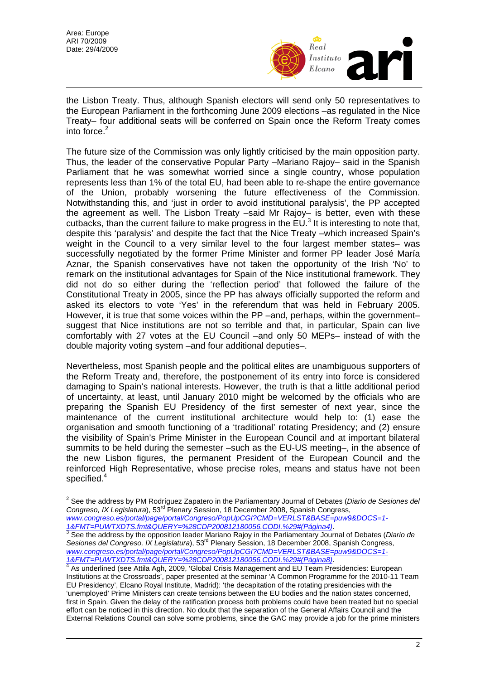

the Lisbon Treaty. Thus, although Spanish electors will send only 50 representatives to the European Parliament in the forthcoming June 2009 elections –as regulated in the Nice Treaty– four additional seats will be conferred on Spain once the Reform Treaty comes into force.<sup>[2](#page-1-0)</sup>

The future size of the Commission was only lightly criticised by the main opposition party. Thus, the leader of the conservative Popular Party –Mariano Rajoy– said in the Spanish Parliament that he was somewhat worried since a single country, whose population represents less than 1% of the total EU, had been able to re-shape the entire governance of the Union, probably worsening the future effectiveness of the Commission. Notwithstanding this, and 'just in order to avoid institutional paralysis', the PP accepted the agreement as well. The Lisbon Treaty –said Mr Rajoy– is better, even with these cutbacks, than the current failure to make progress in the  $EU^3$  $EU^3$  It is interesting to note that, despite this 'paralysis' and despite the fact that the Nice Treaty –which increased Spain's weight in the Council to a very similar level to the four largest member states– was successfully negotiated by the former Prime Minister and former PP leader José María Aznar, the Spanish conservatives have not taken the opportunity of the Irish 'No' to remark on the institutional advantages for Spain of the Nice institutional framework. They did not do so either during the 'reflection period' that followed the failure of the Constitutional Treaty in 2005, since the PP has always officially supported the reform and asked its electors to vote 'Yes' in the referendum that was held in February 2005. However, it is true that some voices within the PP –and, perhaps, within the government– suggest that Nice institutions are not so terrible and that, in particular, Spain can live comfortably with 27 votes at the EU Council –and only 50 MEPs– instead of with the double majority voting system –and four additional deputies–.

Nevertheless, most Spanish people and the political elites are unambiguous supporters of the Reform Treaty and, therefore, the postponement of its entry into force is considered damaging to Spain's national interests. However, the truth is that a little additional period of uncertainty, at least, until January 2010 might be welcomed by the officials who are preparing the Spanish EU Presidency of the first semester of next year, since the maintenance of the current institutional architecture would help to: (1) ease the organisation and smooth functioning of a 'traditional' rotating Presidency; and (2) ensure the visibility of Spain's Prime Minister in the European Council and at important bilateral summits to be held during the semester –such as the EU-US meeting–, in the absence of the new Lisbon figures, the permanent President of the European Council and the reinforced High Representative, whose precise roles, means and status have not been specified. [4](#page-1-2)

*www.congreso.es/portal/page/portal/Congreso/PopUpCGI?CMD=VERLST&BASE=puw9&DOCS=1-* <u>1&FMT=PUWTXDTS.fmt&QUERY=%28CDP200812180056.CODI.%29#(Página4)</u>.<br><sup>3</sup> See the address by the opposition leader Mariano Rajoy in the Parliamentary Journal of Debates (*Diario de* 

<span id="page-1-1"></span>Sesiones del Congreso, IX Legislatura), 53<sup>rd</sup> Plenary Session, 18 December 2008, Spanish Congress, *www.congreso.es/portal/page/portal/Congreso/PopUpCGI?CMD=VERLST&BASE=puw9&DOCS=1- 1&FMT=PUWTXDTS.fmt&QUERY=%28CDP200812180056.CODI.%29#(Página8)*. 4

<span id="page-1-0"></span> 2 See the address by PM Rodríguez Zapatero in the Parliamentary Journal of Debates (*Diario de Sesiones del Congreso, IX Legislatura*), 53rd Plenary Session, 18 December 2008, Spanish Congress,

<span id="page-1-2"></span><sup>4</sup> As underlined (see Attila Agh, 2009, 'Global Crisis Management and EU Team Presidencies: European Institutions at the Crossroads', paper presented at the seminar 'A Common Programme for the 2010-11 Team EU Presidency', Elcano Royal Institute, Madrid): 'the decapitation of the rotating presidencies with the 'unemployed' Prime Ministers can create tensions between the EU bodies and the nation states concerned, first in Spain. Given the delay of the ratification process both problems could have been treated but no special effort can be noticed in this direction. No doubt that the separation of the General Affairs Council and the External Relations Council can solve some problems, since the GAC may provide a job for the prime ministers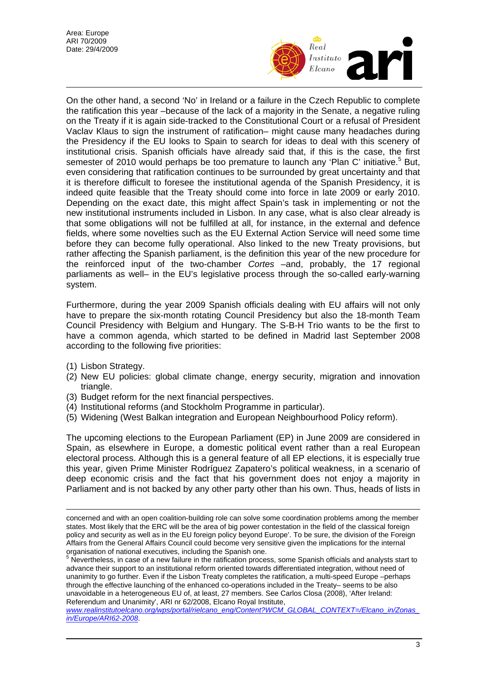

On the other hand, a second 'No' in Ireland or a failure in the Czech Republic to complete the ratification this year –because of the lack of a majority in the Senate, a negative ruling on the Treaty if it is again side-tracked to the Constitutional Court or a refusal of President Vaclav Klaus to sign the instrument of ratification– might cause many headaches during the Presidency if the EU looks to Spain to search for ideas to deal with this scenery of institutional crisis. Spanish officials have already said that, if this is the case, the first semester of 2010 would perhaps be too premature to launch any 'Plan C' initiative.<sup>[5](#page-2-0)</sup> But, even considering that ratification continues to be surrounded by great uncertainty and that it is therefore difficult to foresee the institutional agenda of the Spanish Presidency, it is indeed quite feasible that the Treaty should come into force in late 2009 or early 2010. Depending on the exact date, this might affect Spain's task in implementing or not the new institutional instruments included in Lisbon. In any case, what is also clear already is that some obligations will not be fulfilled at all, for instance, in the external and defence fields, where some novelties such as the EU External Action Service will need some time before they can become fully operational. Also linked to the new Treaty provisions, but rather affecting the Spanish parliament, is the definition this year of the new procedure for the reinforced input of the two-chamber *Cortes* –and, probably, the 17 regional parliaments as well– in the EU's legislative process through the so-called early-warning system.

Furthermore, during the year 2009 Spanish officials dealing with EU affairs will not only have to prepare the six-month rotating Council Presidency but also the 18-month Team Council Presidency with Belgium and Hungary. The S-B-H Trio wants to be the first to have a common agenda, which started to be defined in Madrid last September 2008 according to the following five priorities:

(1) Lisbon Strategy.

 $\overline{a}$ 

- (2) New EU policies: global climate change, energy security, migration and innovation triangle.
- (3) Budget reform for the next financial perspectives.
- (4) Institutional reforms (and Stockholm Programme in particular).
- (5) Widening (West Balkan integration and European Neighbourhood Policy reform).

The upcoming elections to the European Parliament (EP) in June 2009 are considered in Spain, as elsewhere in Europe, a domestic political event rather than a real European electoral process. Although this is a general feature of all EP elections, it is especially true this year, given Prime Minister Rodríguez Zapatero's political weakness, in a scenario of deep economic crisis and the fact that his government does not enjoy a majority in Parliament and is not backed by any other party other than his own. Thus, heads of lists in

concerned and with an open coalition-building role can solve some coordination problems among the member states. Most likely that the ERC will be the area of big power contestation in the field of the classical foreign policy and security as well as in the EU foreign policy beyond Europe'. To be sure, the division of the Foreign Affairs from the General Affairs Council could become very sensitive given the implications for the internal

<span id="page-2-0"></span>organisation of national executives, including the Spanish one.<br><sup>5</sup> Nevertheless, in case of a new failure in the ratification process, some Spanish officials and analysts start to advance their support to an institutional reform oriented towards differentiated integration, without need of unanimity to go further. Even if the Lisbon Treaty completes the ratification, a multi-speed Europe –perhaps through the effective launching of the enhanced co-operations included in the Treaty– seems to be also unavoidable in a heterogeneous EU of, at least, 27 members. See Carlos Closa (2008), 'After Ireland: Referendum and Unanimity', ARI nr 62/2008, Elcano Royal Institute,

*[www.realinstitutoelcano.org/wps/portal/rielcano\\_eng/Content?WCM\\_GLOBAL\\_CONTEXT=/Elcano\\_in/Zonas\\_](http://www.realinstitutoelcano.org/wps/portal/rielcano_eng/Content?WCM_GLOBAL_CONTEXT=/Elcano_in/Zonas_in/Europe/ARI62-2008) [in/Europe/ARI62-2008](http://www.realinstitutoelcano.org/wps/portal/rielcano_eng/Content?WCM_GLOBAL_CONTEXT=/Elcano_in/Zonas_in/Europe/ARI62-2008)*.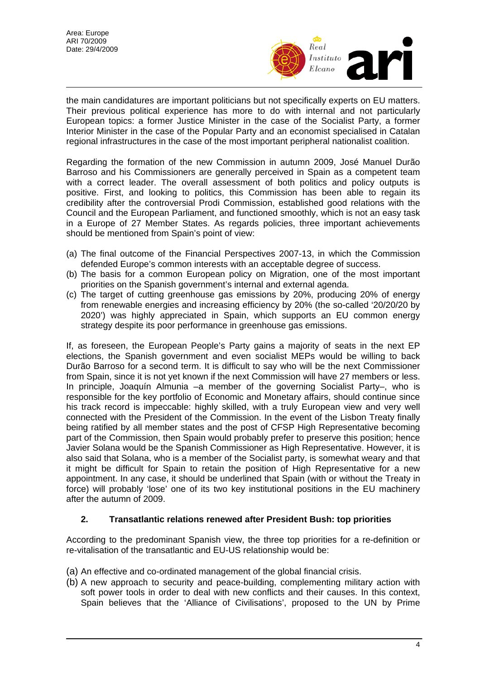

the main candidatures are important politicians but not specifically experts on EU matters. Their previous political experience has more to do with internal and not particularly European topics: a former Justice Minister in the case of the Socialist Party, a former Interior Minister in the case of the Popular Party and an economist specialised in Catalan regional infrastructures in the case of the most important peripheral nationalist coalition.

Regarding the formation of the new Commission in autumn 2009, José Manuel Durão Barroso and his Commissioners are generally perceived in Spain as a competent team with a correct leader. The overall assessment of both politics and policy outputs is positive. First, and looking to politics, this Commission has been able to regain its credibility after the controversial Prodi Commission, established good relations with the Council and the European Parliament, and functioned smoothly, which is not an easy task in a Europe of 27 Member States. As regards policies, three important achievements should be mentioned from Spain's point of view:

- (a) The final outcome of the Financial Perspectives 2007-13, in which the Commission defended Europe's common interests with an acceptable degree of success.
- (b) The basis for a common European policy on Migration, one of the most important priorities on the Spanish government's internal and external agenda.
- (c) The target of cutting greenhouse gas emissions by 20%, producing 20% of energy from renewable energies and increasing efficiency by 20% (the so-called '20/20/20 by 2020') was highly appreciated in Spain, which supports an EU common energy strategy despite its poor performance in greenhouse gas emissions.

If, as foreseen, the European People's Party gains a majority of seats in the next EP elections, the Spanish government and even socialist MEPs would be willing to back Durão Barroso for a second term. It is difficult to say who will be the next Commissioner from Spain, since it is not yet known if the next Commission will have 27 members or less. In principle, Joaquín Almunia –a member of the governing Socialist Party–, who is responsible for the key portfolio of Economic and Monetary affairs, should continue since his track record is impeccable: highly skilled, with a truly European view and very well connected with the President of the Commission. In the event of the Lisbon Treaty finally being ratified by all member states and the post of CFSP High Representative becoming part of the Commission, then Spain would probably prefer to preserve this position; hence Javier Solana would be the Spanish Commissioner as High Representative. However, it is also said that Solana, who is a member of the Socialist party, is somewhat weary and that it might be difficult for Spain to retain the position of High Representative for a new appointment. In any case, it should be underlined that Spain (with or without the Treaty in force) will probably 'lose' one of its two key institutional positions in the EU machinery after the autumn of 2009.

#### **2. Transatlantic relations renewed after President Bush: top priorities**

According to the predominant Spanish view, the three top priorities for a re-definition or re-vitalisation of the transatlantic and EU-US relationship would be:

- (a) An effective and co-ordinated management of the global financial crisis.
- (b) A new approach to security and peace-building, complementing military action with soft power tools in order to deal with new conflicts and their causes. In this context, Spain believes that the 'Alliance of Civilisations', proposed to the UN by Prime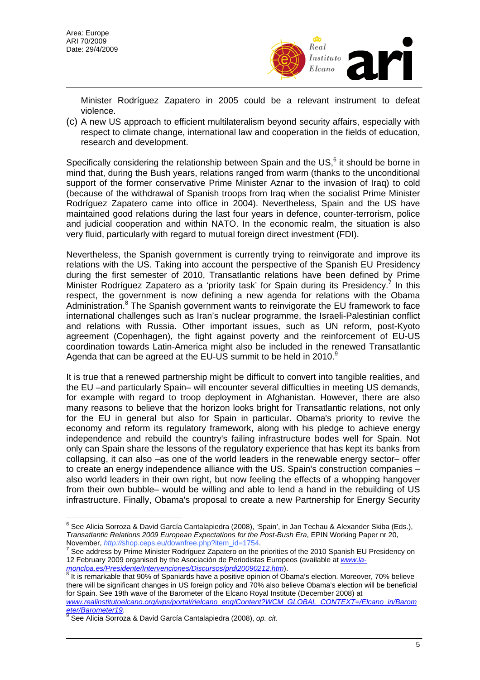

Minister Rodríguez Zapatero in 2005 could be a relevant instrument to defeat violence.

(c) A new US approach to efficient multilateralism beyond security affairs, especially with respect to climate change, international law and cooperation in the fields of education, research and development.

Specifically considering the relationship between Spain and the US, $^6$  $^6$  it should be borne in mind that, during the Bush years, relations ranged from warm (thanks to the unconditional support of the former conservative Prime Minister Aznar to the invasion of Iraq) to cold (because of the withdrawal of Spanish troops from Iraq when the socialist Prime Minister Rodríguez Zapatero came into office in 2004). Nevertheless, Spain and the US have maintained good relations during the last four years in defence, counter-terrorism, police and judicial cooperation and within NATO. In the economic realm, the situation is also very fluid, particularly with regard to mutual foreign direct investment (FDI).

Nevertheless, the Spanish government is currently trying to reinvigorate and improve its relations with the US. Taking into account the perspective of the Spanish EU Presidency during the first semester of 2010, Transatlantic relations have been defined by Prime Minister Rodríguez Zapatero as a 'priority task' for Spain during its Presidency.<sup>[7](#page-4-1)</sup> In this respect, the government is now defining a new agenda for relations with the Obama Administration.<sup>[8](#page-4-2)</sup> The Spanish government wants to reinvigorate the EU framework to face international challenges such as Iran's nuclear programme, the Israeli-Palestinian conflict and relations with Russia. Other important issues, such as UN reform, post-Kyoto agreement (Copenhagen), the fight against poverty and the reinforcement of EU-US coordination towards Latin-America might also be included in the renewed Transatlantic Agenda that can be agreed at the EU-US summit to be held in 2010.<sup>[9](#page-4-3)</sup>

It is true that a renewed partnership might be difficult to convert into tangible realities, and the EU –and particularly Spain– will encounter several difficulties in meeting US demands, for example with regard to troop deployment in Afghanistan. However, there are also many reasons to believe that the horizon looks bright for Transatlantic relations, not only for the EU in general but also for Spain in particular. Obama's priority to revive the economy and reform its regulatory framework, along with his pledge to achieve energy independence and rebuild the country's failing infrastructure bodes well for Spain. Not only can Spain share the lessons of the regulatory experience that has kept its banks from collapsing, it can also –as one of the world leaders in the renewable energy sector– offer to create an energy independence alliance with the US. Spain's construction companies – also world leaders in their own right, but now feeling the effects of a whopping hangover from their own bubble– would be willing and able to lend a hand in the rebuilding of US infrastructure. Finally, Obama's proposal to create a new Partnership for Energy Security

<span id="page-4-0"></span> $\overline{a}$ <sup>6</sup> See Alicia Sorroza & David García Cantalapiedra (2008), 'Spain', in Jan Techau & Alexander Skiba (Eds.), *Transatlantic Relations 2009 European Expectations for the Post-Bush Era*, EPIN Working Paper nr 20, November, *http://shop.ceps.eu/downfree.php?item\_id=1754.* 

<span id="page-4-1"></span>See address by Prime Minister Rodríguez Zapatero on the priorities of the 2010 Spanish EU Presidency on 12 February 2009 organised by the Asociación de Periodistas Europeos (available at *[www.la](http://www.la-moncloa.es/Presidente/Intervenciones/Discursos/prdi20090212.htm)moncloa.es/Presidente/Intervenciones/Discursos/prdi20090212.htm*[\)](http://www.la-moncloa.es/Presidente/Intervenciones/Discursos/prdi20090212.htm).<br><sup>[8](http://www.la-moncloa.es/Presidente/Intervenciones/Discursos/prdi20090212.htm)</sup> It is remarkable that 00% of Os

<span id="page-4-2"></span>It is remarkable that 90% of Spaniards have a positive opinion of Obama's election. Moreover, 70% believe there will be significant changes in US foreign policy and 70% also believe Obama's election will be beneficial for Spain. See 19th wave of the Barometer of the Elcano Royal Institute (December 2008) at

*[www.realinstitutoelcano.org/wps/portal/rielcano\\_eng/Content?WCM\\_GLOBAL\\_CONTEXT=/Elcano\\_in/Barom](http://www.realinstitutoelcano.org/wps/portal/rielcano_eng/Content?WCM_GLOBAL_CONTEXT=/Elcano_in/Barometer/Barometer19)*  $e$ ter/Barometer<sub>1[9](http://www.realinstitutoelcano.org/wps/portal/rielcano_eng/Content?WCM_GLOBAL_CONTEXT=/Elcano_in/Barometer/Barometer19).</sub>

<span id="page-4-3"></span>See Alicia Sorroza & David García Cantalapiedra (2008), *op. cit.*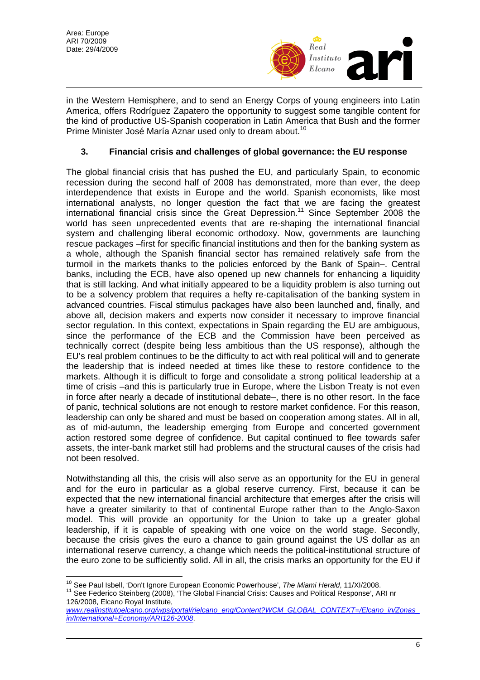

in the Western Hemisphere, and to send an Energy Corps of young engineers into Latin America, offers Rodríguez Zapatero the opportunity to suggest some tangible content for the kind of productive US-Spanish cooperation in Latin America that Bush and the former Prime Minister José María Aznar used only to dream about.<sup>[10](#page-5-0)</sup>

## **3. Financial crisis and challenges of global governance: the EU response**

The global financial crisis that has pushed the EU, and particularly Spain, to economic recession during the second half of 2008 has demonstrated, more than ever, the deep interdependence that exists in Europe and the world. Spanish economists, like most international analysts, no longer question the fact that we are facing the greatest international financial crisis since the Great Depression[.11](#page-5-1) Since September 2008 the world has seen unprecedented events that are re-shaping the international financial system and challenging liberal economic orthodoxy. Now, governments are launching rescue packages –first for specific financial institutions and then for the banking system as a whole, although the Spanish financial sector has remained relatively safe from the turmoil in the markets thanks to the policies enforced by the Bank of Spain–. Central banks, including the ECB, have also opened up new channels for enhancing a liquidity that is still lacking. And what initially appeared to be a liquidity problem is also turning out to be a solvency problem that requires a hefty re-capitalisation of the banking system in advanced countries. Fiscal stimulus packages have also been launched and, finally, and above all, decision makers and experts now consider it necessary to improve financial sector regulation. In this context, expectations in Spain regarding the EU are ambiguous, since the performance of the ECB and the Commission have been perceived as technically correct (despite being less ambitious than the US response), although the EU's real problem continues to be the difficulty to act with real political will and to generate the leadership that is indeed needed at times like these to restore confidence to the markets. Although it is difficult to forge and consolidate a strong political leadership at a time of crisis –and this is particularly true in Europe, where the Lisbon Treaty is not even in force after nearly a decade of institutional debate–, there is no other resort. In the face of panic, technical solutions are not enough to restore market confidence. For this reason, leadership can only be shared and must be based on cooperation among states. All in all, as of mid-autumn, the leadership emerging from Europe and concerted government action restored some degree of confidence. But capital continued to flee towards safer assets, the inter-bank market still had problems and the structural causes of the crisis had not been resolved.

Notwithstanding all this, the crisis will also serve as an opportunity for the EU in general and for the euro in particular as a global reserve currency. First, because it can be expected that the new international financial architecture that emerges after the crisis will have a greater similarity to that of continental Europe rather than to the Anglo-Saxon model. This will provide an opportunity for the Union to take up a greater global leadership, if it is capable of speaking with one voice on the world stage. Secondly, because the crisis gives the euro a chance to gain ground against the US dollar as an international reserve currency, a change which needs the political-institutional structure of the euro zone to be sufficiently solid. All in all, the crisis marks an opportunity for the EU if

<span id="page-5-1"></span><sup>11</sup> See Federico Steinberg (2008), 'The Global Financial Crisis: Causes and Political Response', ARI nr 126/2008, Elcano Royal Institute,

<span id="page-5-0"></span><sup>&</sup>lt;sup>10</sup> See Paul Isbell. 'Don't Ignore European Economic Powerhouse', The Miami Herald, 11/XI/2008.

*[www.realinstitutoelcano.org/wps/portal/rielcano\\_eng/Content?WCM\\_GLOBAL\\_CONTEXT=/Elcano\\_in/Zonas\\_](http://www.realinstitutoelcano.org/wps/portal/rielcano_eng/Content?WCM_GLOBAL_CONTEXT=/Elcano_in/Zonas_in/International+Economy/ARI126-2008) [in/International+Economy/ARI126-2008](http://www.realinstitutoelcano.org/wps/portal/rielcano_eng/Content?WCM_GLOBAL_CONTEXT=/Elcano_in/Zonas_in/International+Economy/ARI126-2008)*.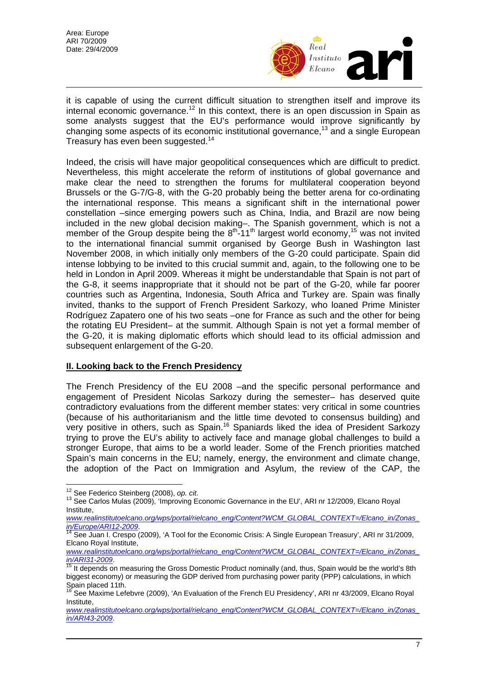

it is capable of using the current difficult situation to strengthen itself and improve its internal economic governance.<sup>12</sup> In this context, there is an open discussion in Spain as some analysts suggest that the EU's performance would improve significantly by changing some aspects of its economic institutional governance,<sup>13</sup> and a single European Treasury has even been suggested.<sup>[14](#page-6-2)</sup>

Indeed, the crisis will have major geopolitical consequences which are difficult to predict. Nevertheless, this might accelerate the reform of institutions of global governance and make clear the need to strengthen the forums for multilateral cooperation beyond Brussels or the G-7/G-8, with the G-20 probably being the better arena for co-ordinating the international response. This means a significant shift in the international power constellation –since emerging powers such as China, India, and Brazil are now being included in the new global decision making–. The Spanish government, which is not a member of the Group despite being the 8<sup>th</sup>-11<sup>th</sup> largest world economy,<sup>15</sup> was not invited to the international financial summit organised by George Bush in Washington last November 2008, in which initially only members of the G-20 could participate. Spain did intense lobbying to be invited to this crucial summit and, again, to the following one to be held in London in April 2009. Whereas it might be understandable that Spain is not part of the G-8, it seems inappropriate that it should not be part of the G-20, while far poorer countries such as Argentina, Indonesia, South Africa and Turkey are. Spain was finally invited, thanks to the support of French President Sarkozy, who loaned Prime Minister Rodríguez Zapatero one of his two seats –one for France as such and the other for being the rotating EU President– at the summit. Although Spain is not yet a formal member of the G-20, it is making diplomatic efforts which should lead to its official admission and subsequent enlargement of the G-20.

#### **II. Looking back to the French Presidency**

The French Presidency of the EU 2008 –and the specific personal performance and engagement of President Nicolas Sarkozy during the semester– has deserved quite contradictory evaluations from the different member states: very critical in some countries (because of his authoritarianism and the little time devoted to consensus building) and very positive in others, such as Spain.<sup>16</sup> Spaniards liked the idea of President Sarkozy trying to prove the EU's ability to actively face and manage global challenges to build a stronger Europe, that aims to be a world leader. Some of the French priorities matched Spain's main concerns in the EU; namely, energy, the environment and climate change, the adoption of the Pact on Immigration and Asylum, the review of the CAP, the

<span id="page-6-1"></span><sup>13</sup> See Carlos Mulas (2009), 'Improving Economic Governance in the EU', ARI nr 12/2009, Elcano Royal Institute,

<span id="page-6-0"></span><sup>&</sup>lt;sup>12</sup> See Federico Steinberg (2008), op. cit.

*[www.realinstitutoelcano.org/wps/portal/rielcano\\_eng/Content?WCM\\_GLOBAL\\_CONTEXT=/Elcano\\_in/Zonas\\_](http://www.realinstitutoelcano.org/wps/portal/rielcano_eng/Content?WCM_GLOBAL_CONTEXT=/Elcano_in/Zonas_in/Europe/ARI12-2009)*<br>*in/Europe/ARI12-2009.*<br><sup>14</sup> See Juan L.Crespo (2009), 'A Tool for the Economic Crisic: A Single European Traceural, ADI an

<span id="page-6-2"></span>See Juan I. Crespo (2009), 'A Tool for the Economic Crisis: A Single European Treasury', ARI nr 31/2009, Elcano Royal Institute,

*[www.realinstitutoelcano.org/wps/portal/rielcano\\_eng/Content?WCM\\_GLOBAL\\_CONTEXT=/Elcano\\_in/Zonas\\_](http://www.realinstitutoelcano.org/wps/portal/rielcano_eng/Content?WCM_GLOBAL_CONTEXT=/Elcano_in/Zonas_in/ARI31-2009) in/ARI31-2009*[.](http://www.realinstitutoelcano.org/wps/portal/rielcano_eng/Content?WCM_GLOBAL_CONTEXT=/Elcano_in/Zonas_in/ARI31-2009) [15](http://www.realinstitutoelcano.org/wps/portal/rielcano_eng/Content?WCM_GLOBAL_CONTEXT=/Elcano_in/Zonas_in/ARI31-2009) It depends on measuring the Gross Domestic Product nominally (and, thus, Spain would be the world's 8th

<span id="page-6-3"></span>biggest economy) or measuring the GDP derived from purchasing power parity (PPP) calculations, in which<br>Spain placed 11th.<br><sup>16</sup> See Movime Lefebure (2000), the Euclidean of the Franck FU Dr. 11th 11th 12th 12th 2002.

<span id="page-6-4"></span>See Maxime Lefebvre (2009), 'An Evaluation of the French EU Presidency', ARI nr 43/2009, Elcano Royal Institute,

*[www.realinstitutoelcano.org/wps/portal/rielcano\\_eng/Content?WCM\\_GLOBAL\\_CONTEXT=/Elcano\\_in/Zonas\\_](http://www.realinstitutoelcano.org/wps/portal/rielcano_eng/Content?WCM_GLOBAL_CONTEXT=/Elcano_in/Zonas_in/ARI43-2009) [in/ARI43-2009](http://www.realinstitutoelcano.org/wps/portal/rielcano_eng/Content?WCM_GLOBAL_CONTEXT=/Elcano_in/Zonas_in/ARI43-2009)*.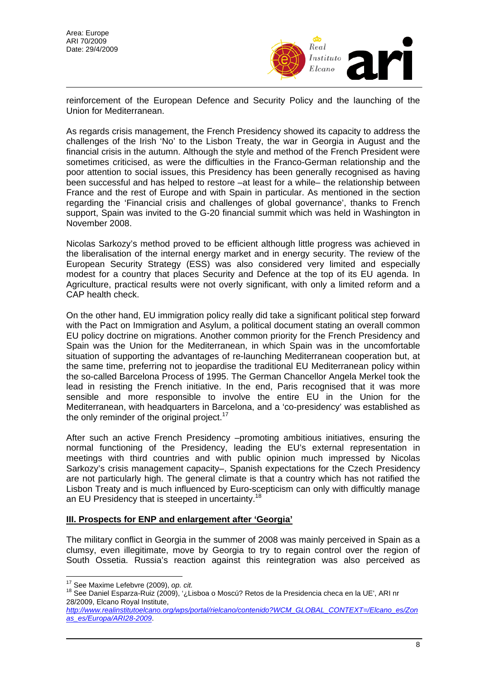

reinforcement of the European Defence and Security Policy and the launching of the Union for Mediterranean.

As regards crisis management, the French Presidency showed its capacity to address the challenges of the Irish 'No' to the Lisbon Treaty, the war in Georgia in August and the financial crisis in the autumn. Although the style and method of the French President were sometimes criticised, as were the difficulties in the Franco-German relationship and the poor attention to social issues, this Presidency has been generally recognised as having been successful and has helped to restore –at least for a while– the relationship between France and the rest of Europe and with Spain in particular. As mentioned in the section regarding the 'Financial crisis and challenges of global governance', thanks to French support, Spain was invited to the G-20 financial summit which was held in Washington in November 2008.

Nicolas Sarkozy's method proved to be efficient although little progress was achieved in the liberalisation of the internal energy market and in energy security. The review of the European Security Strategy (ESS) was also considered very limited and especially modest for a country that places Security and Defence at the top of its EU agenda. In Agriculture, practical results were not overly significant, with only a limited reform and a CAP health check.

On the other hand, EU immigration policy really did take a significant political step forward with the Pact on Immigration and Asylum, a political document stating an overall common EU policy doctrine on migrations. Another common priority for the French Presidency and Spain was the Union for the Mediterranean, in which Spain was in the uncomfortable situation of supporting the advantages of re-launching Mediterranean cooperation but, at the same time, preferring not to jeopardise the traditional EU Mediterranean policy within the so-called Barcelona Process of 1995. The German Chancellor Angela Merkel took the lead in resisting the French initiative. In the end, Paris recognised that it was more sensible and more responsible to involve the entire EU in the Union for the Mediterranean, with headquarters in Barcelona, and a 'co-presidency' was established as the only reminder of the original project.<sup>[17](#page-7-0)</sup>

After such an active French Presidency –promoting ambitious initiatives, ensuring the normal functioning of the Presidency, leading the EU's external representation in meetings with third countries and with public opinion much impressed by Nicolas Sarkozy's crisis management capacity–, Spanish expectations for the Czech Presidency are not particularly high. The general climate is that a country which has not ratified the Lisbon Treaty and is much influenced by Euro-scepticism can only with difficultly manage an EU Presidency that is steeped in uncertainty.<sup>[18](#page-7-1)</sup>

#### **III. Prospects for ENP and enlargement after 'Georgia'**

The military conflict in Georgia in the summer of 2008 was mainly perceived in Spain as a clumsy, even illegitimate, move by Georgia to try to regain control over the region of South Ossetia. Russia's reaction against this reintegration was also perceived as

<span id="page-7-0"></span><sup>&</sup>lt;sup>17</sup> See Maxime Lefebvre (2009), op. cit.

<span id="page-7-1"></span><sup>18</sup> See Daniel Esparza-Ruiz (2009), '¿Lisboa o Moscú? Retos de la Presidencia checa en la UE', ARI nr 28/2009, Elcano Royal Institute,

*[http://www.realinstitutoelcano.org/wps/portal/rielcano/contenido?WCM\\_GLOBAL\\_CONTEXT=/Elcano\\_es/Zon](http://www.realinstitutoelcano.org/wps/portal/rielcano/contenido?WCM_GLOBAL_CONTEXT=/Elcano_es/Zonas_es/Europa/ARI28-2009) [as\\_es/Europa/ARI28-2009](http://www.realinstitutoelcano.org/wps/portal/rielcano/contenido?WCM_GLOBAL_CONTEXT=/Elcano_es/Zonas_es/Europa/ARI28-2009)*.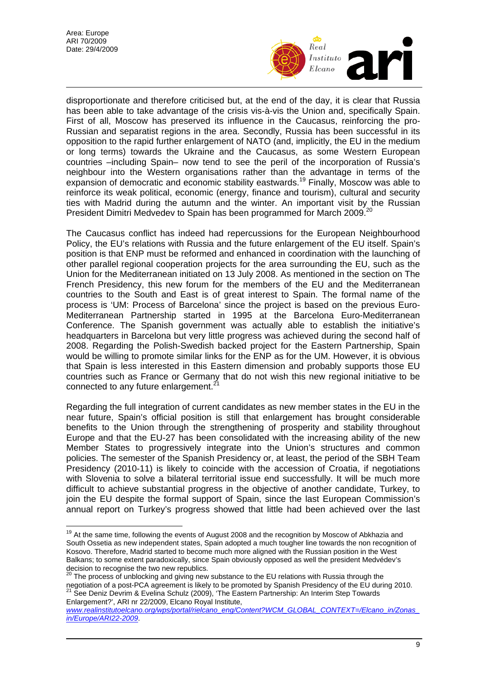

disproportionate and therefore criticised but, at the end of the day, it is clear that Russia has been able to take advantage of the crisis vis-à-vis the Union and, specifically Spain. First of all, Moscow has preserved its influence in the Caucasus, reinforcing the pro-Russian and separatist regions in the area. Secondly, Russia has been successful in its opposition to the rapid further enlargement of NATO (and, implicitly, the EU in the medium or long terms) towards the Ukraine and the Caucasus, as some Western European countries –including Spain– now tend to see the peril of the incorporation of Russia's neighbour into the Western organisations rather than the advantage in terms of the expansion of democratic and economic stability eastwards.<sup>19</sup> Finally, Moscow was able to reinforce its weak political, economic (energy, finance and tourism), cultural and security ties with Madrid during the autumn and the winter. An important visit by the Russian President Dimitri Medvedev to Spain has been programmed for March [20](#page-8-1)09.<sup>20</sup>

The Caucasus conflict has indeed had repercussions for the European Neighbourhood Policy, the EU's relations with Russia and the future enlargement of the EU itself. Spain's position is that ENP must be reformed and enhanced in coordination with the launching of other parallel regional cooperation projects for the area surrounding the EU, such as the Union for the Mediterranean initiated on 13 July 2008. As mentioned in the section on The French Presidency, this new forum for the members of the EU and the Mediterranean countries to the South and East is of great interest to Spain. The formal name of the process is 'UM: Process of Barcelona' since the project is based on the previous Euro-Mediterranean Partnership started in 1995 at the Barcelona Euro-Mediterranean Conference. The Spanish government was actually able to establish the initiative's headquarters in Barcelona but very little progress was achieved during the second half of 2008. Regarding the Polish-Swedish backed project for the Eastern Partnership, Spain would be willing to promote similar links for the ENP as for the UM. However, it is obvious that Spain is less interested in this Eastern dimension and probably supports those EU countries such as France or Germany that do not wish this new regional initiative to be connected to any future enlargement. $2<sup>2</sup>$ 

Regarding the full integration of current candidates as new member states in the EU in the near future, Spain's official position is still that enlargement has brought considerable benefits to the Union through the strengthening of prosperity and stability throughout Europe and that the EU-27 has been consolidated with the increasing ability of the new Member States to progressively integrate into the Union's structures and common policies. The semester of the Spanish Presidency or, at least, the period of the SBH Team Presidency (2010-11) is likely to coincide with the accession of Croatia, if negotiations with Slovenia to solve a bilateral territorial issue end successfully. It will be much more difficult to achieve substantial progress in the objective of another candidate, Turkey, to join the EU despite the formal support of Spain, since the last European Commission's annual report on Turkey's progress showed that little had been achieved over the last

<span id="page-8-2"></span>Enlargement?', ARI nr 22/2009, Elcano Royal Institute,

<span id="page-8-0"></span> $\overline{a}$ <sup>19</sup> At the same time, following the events of August 2008 and the recognition by Moscow of Abkhazia and South Ossetia as new independent states, Spain adopted a much tougher line towards the non recognition of Kosovo. Therefore, Madrid started to become much more aligned with the Russian position in the West Balkans; to some extent paradoxically, since Spain obviously opposed as well the president Medvédev's decision to recognise the two new republics.<br><sup>20</sup> The process of unblocking and giving pay out of the fact of the filtra

<span id="page-8-1"></span>The process of unblocking and giving new substance to the EU relations with Russia through the negotiation of a post-PCA agreement is likely to be promoted by Spanish Presidency of the EU during 2010.<br><sup>21</sup> See Deniz Devrim & Evelina Schulz (2009), 'The Eastern Partnership: An Interim Step Towards

*[www.realinstitutoelcano.org/wps/portal/rielcano\\_eng/Content?WCM\\_GLOBAL\\_CONTEXT=/Elcano\\_in/Zonas\\_](http://www.realinstitutoelcano.org/wps/portal/rielcano_eng/Content?WCM_GLOBAL_CONTEXT=/Elcano_in/Zonas_in/Europe/ARI22-2009) [in/Europe/ARI22-2009](http://www.realinstitutoelcano.org/wps/portal/rielcano_eng/Content?WCM_GLOBAL_CONTEXT=/Elcano_in/Zonas_in/Europe/ARI22-2009)*.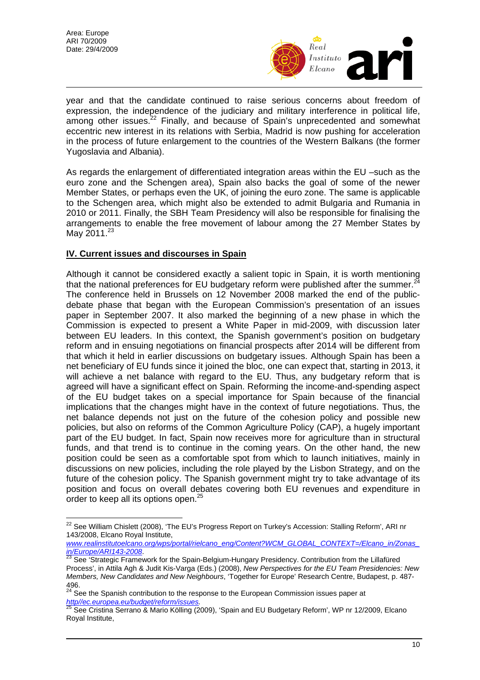$\overline{a}$ 



year and that the candidate continued to raise serious concerns about freedom of expression, the independence of the judiciary and military interference in political life, among other issues.<sup>22</sup> Finally, and because of Spain's unprecedented and somewhat eccentric new interest in its relations with Serbia, Madrid is now pushing for acceleration in the process of future enlargement to the countries of the Western Balkans (the former Yugoslavia and Albania).

As regards the enlargement of differentiated integration areas within the EU –such as the euro zone and the Schengen area), Spain also backs the goal of some of the newer Member States, or perhaps even the UK, of joining the euro zone. The same is applicable to the Schengen area, which might also be extended to admit Bulgaria and Rumania in 2010 or 2011. Finally, the SBH Team Presidency will also be responsible for finalising the arrangements to enable the free movement of labour among the 27 Member States by May 2011.<sup>[23](#page-9-1)</sup>

## **IV. Current issues and discourses in Spain**

Although it cannot be considered exactly a salient topic in Spain, it is worth mentioning that the national preferences for EU budgetary reform were published after the summer. $^{24}$  $^{24}$  $^{24}$ The conference held in Brussels on 12 November 2008 marked the end of the publicdebate phase that began with the European Commission's presentation of an issues paper in September 2007. It also marked the beginning of a new phase in which the Commission is expected to present a White Paper in mid-2009, with discussion later between EU leaders. In this context, the Spanish government's position on budgetary reform and in ensuing negotiations on financial prospects after 2014 will be different from that which it held in earlier discussions on budgetary issues. Although Spain has been a net beneficiary of EU funds since it joined the bloc, one can expect that, starting in 2013, it will achieve a net balance with regard to the EU. Thus, any budgetary reform that is agreed will have a significant effect on Spain. Reforming the income-and-spending aspect of the EU budget takes on a special importance for Spain because of the financial implications that the changes might have in the context of future negotiations. Thus, the net balance depends not just on the future of the cohesion policy and possible new policies, but also on reforms of the Common Agriculture Policy (CAP), a hugely important part of the EU budget. In fact, Spain now receives more for agriculture than in structural funds, and that trend is to continue in the coming years. On the other hand, the new position could be seen as a comfortable spot from which to launch initiatives, mainly in discussions on new policies, including the role played by the Lisbon Strategy, and on the future of the cohesion policy. The Spanish government might try to take advantage of its position and focus on overall debates covering both EU revenues and expenditure in order to keep all its options open.<sup>25</sup>

*[www.realinstitutoelcano.org/wps/portal/rielcano\\_eng/Content?WCM\\_GLOBAL\\_CONTEXT=/Elcano\\_in/Zonas\\_](http://www.realinstitutoelcano.org/wps/portal/rielcano_eng/Content?WCM_GLOBAL_CONTEXT=/Elcano_in/Zonas_in/Europe/ARI143-2008) in/Europe/ARI143-2008*. [23](http://www.realinstitutoelcano.org/wps/portal/rielcano_eng/Content?WCM_GLOBAL_CONTEXT=/Elcano_in/Zonas_in/Europe/ARI143-2008) See 'Strategic Framework for the Spain-Belgium-Hungary Presidency. Contribution from the Lillafüred

<span id="page-9-0"></span> $^{22}$  See William Chislett (2008), 'The EU's Progress Report on Turkey's Accession: Stalling Reform', ARI nr 143/2008, Elcano Royal Institute,

<span id="page-9-1"></span>Process', in Attila Agh & Judit Kis-Varga (Eds.) (2008), *New Perspectives for the EU Team Presidencies: New Members, New Candidates and New Neighbours*, 'Together for Europe' Research Centre, Budapest, p. 487- 496.

<span id="page-9-2"></span><sup>&</sup>lt;sup>24</sup> See the Spanish contribution to the response to the European Commission issues paper at

<span id="page-9-3"></span>*[http//ec.europea.eu/budget/reform/issues](http://http/ec.europea.eu/budget/reform/issues).* 25 See Cristina Serrano & Mario Kölling (2009), 'Spain and EU Budgetary Reform', WP nr 12/2009, Elcano Royal Institute,